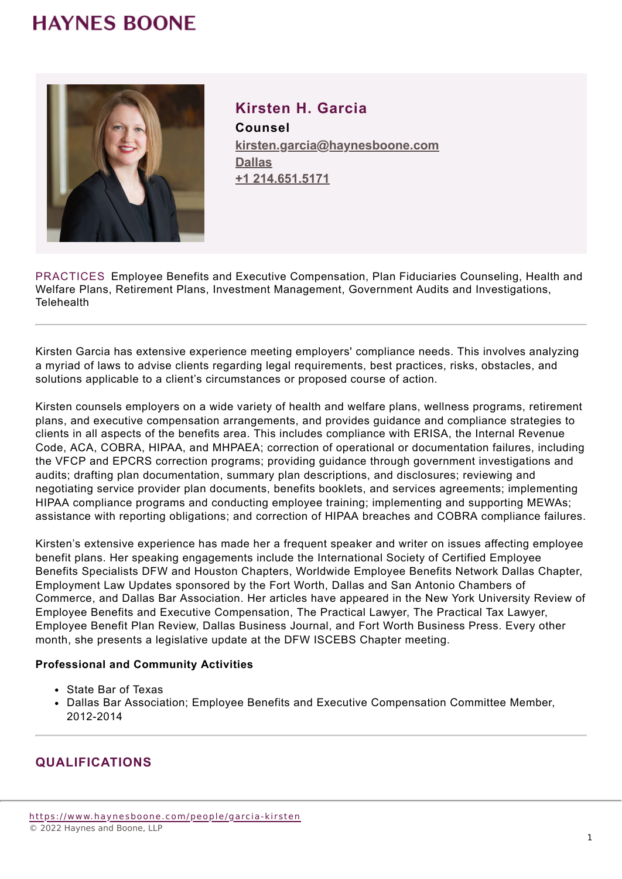## **HAYNES BOONE**



**Kirsten H. Garcia Counsel kirsten.garcia@haynesboone.com [Dallas](https://www.haynesboone.com/locations/dallas) [+1 214.651.5171](tel://+1 214.651.5171)**

PRACTICES Employee Benefits and Executive Compensation, Plan Fiduciaries Counseling, Health and Welfare Plans, Retirement Plans, Investment Management, Government Audits and Investigations, **Telehealth** 

Kirsten Garcia has extensive experience meeting employers' compliance needs. This involves analyzing a myriad of laws to advise clients regarding legal requirements, best practices, risks, obstacles, and solutions applicable to a client's circumstances or proposed course of action.

Kirsten counsels employers on a wide variety of health and welfare plans, wellness programs, retirement plans, and executive compensation arrangements, and provides guidance and compliance strategies to clients in all aspects of the benefits area. This includes compliance with ERISA, the Internal Revenue Code, ACA, COBRA, HIPAA, and MHPAEA; correction of operational or documentation failures, including the VFCP and EPCRS correction programs; providing guidance through government investigations and audits; drafting plan documentation, summary plan descriptions, and disclosures; reviewing and negotiating service provider plan documents, benefits booklets, and services agreements; implementing HIPAA compliance programs and conducting employee training; implementing and supporting MEWAs; assistance with reporting obligations; and correction of HIPAA breaches and COBRA compliance failures.

Kirsten's extensive experience has made her a frequent speaker and writer on issues affecting employee benefit plans. Her speaking engagements include the International Society of Certified Employee Benefits Specialists DFW and Houston Chapters, Worldwide Employee Benefits Network Dallas Chapter, Employment Law Updates sponsored by the Fort Worth, Dallas and San Antonio Chambers of Commerce, and Dallas Bar Association. Her articles have appeared in the New York University Review of Employee Benefits and Executive Compensation, The Practical Lawyer, The Practical Tax Lawyer, Employee Benefit Plan Review, Dallas Business Journal, and Fort Worth Business Press. Every other month, she presents a legislative update at the DFW ISCEBS Chapter meeting.

#### **Professional and Community Activities**

- State Bar of Texas
- Dallas Bar Association; Employee Benefits and Executive Compensation Committee Member, 2012-2014

### **QUALIFICATIONS**

[https://www.haynesboone.com/people/garcia-ki](https://www.haynesboone.com/people/garcia-kirsten)rsten © 2022 Haynes and Boone, LLP